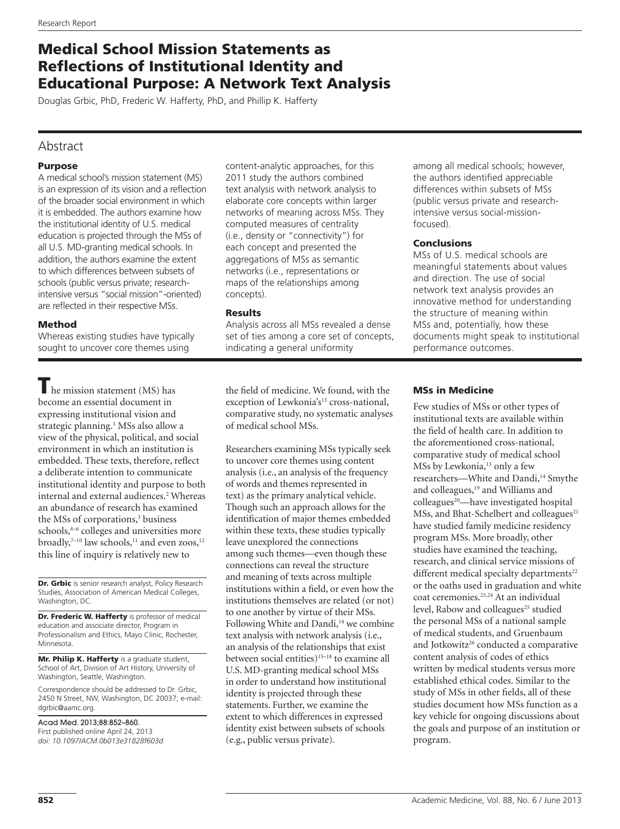# Medical School Mission Statements as Reflections of Institutional Identity and Educational Purpose: A Network Text Analysis

Douglas Grbic, PhD, Frederic W. Hafferty, PhD, and Phillip K. Hafferty

## Abstract

### Purpose

A medical school's mission statement (MS) is an expression of its vision and a reflection of the broader social environment in which it is embedded. The authors examine how the institutional identity of U.S. medical education is projected through the MSs of all U.S. MD-granting medical schools. In addition, the authors examine the extent to which differences between subsets of schools (public versus private; researchintensive versus "social mission"-oriented) are reflected in their respective MSs.

### Method

Whereas existing studies have typically sought to uncover core themes using

 $\blacksquare$  he mission statement (MS) has become an essential document in expressing institutional vision and strategic planning.<sup>1</sup> MSs also allow a view of the physical, political, and social environment in which an institution is embedded. These texts, therefore, reflect a deliberate intention to communicate institutional identity and purpose to both internal and external audiences.2 Whereas an abundance of research has examined the MSs of corporations,<sup>3</sup> business schools,<sup>4-6</sup> colleges and universities more broadly, $7-10$  law schools, $11$  and even zoos, $12$ this line of inquiry is relatively new to

Dr. Grbic is senior research analyst, Policy Research Studies, Association of American Medical Colleges, Washington, DC.

Dr. Frederic W. Hafferty is professor of medical education and associate director, Program in Professionalism and Ethics, Mayo Clinic, Rochester, Minnesota.

Mr. Philip K. Hafferty is a graduate student, School of Art, Division of Art History, University of Washington, Seattle, Washington.

Correspondence should be addressed to Dr. Grbic, 2450 N Street, NW, Washington, DC 20037; e-mail: [dgrbic@aamc.org.](mailto:dgrbic@aamc.org)

Acad Med. 2013;88:852–860. First published online April 24, 2013 *doi: 10.1097/ACM.0b013e31828f603d* content-analytic approaches, for this 2011 study the authors combined text analysis with network analysis to elaborate core concepts within larger networks of meaning across MSs. They computed measures of centrality (i.e., density or "connectivity") for each concept and presented the aggregations of MSs as semantic networks (i.e., representations or maps of the relationships among concepts).

### Results

Analysis across all MSs revealed a dense set of ties among a core set of concepts, indicating a general uniformity

the field of medicine. We found, with the exception of Lewkonia's<sup>13</sup> cross-national, comparative study, no systematic analyses of medical school MSs.

Researchers examining MSs typically seek to uncover core themes using content analysis (i.e., an analysis of the frequency of words and themes represented in text) as the primary analytical vehicle. Though such an approach allows for the identification of major themes embedded within these texts, these studies typically leave unexplored the connections among such themes—even though these connections can reveal the structure and meaning of texts across multiple institutions within a field, or even how the institutions themselves are related (or not) to one another by virtue of their MSs. Following White and Dandi,<sup>14</sup> we combine text analysis with network analysis (i.e., an analysis of the relationships that exist between social entities)<sup>15–18</sup> to examine all U.S. MD-granting medical school MSs in order to understand how institutional identity is projected through these statements. Further, we examine the extent to which differences in expressed identity exist between subsets of schools (e.g., public versus private).

among all medical schools; however, the authors identified appreciable differences within subsets of MSs (public versus private and researchintensive versus social-missionfocused).

### **Conclusions**

MSs of U.S. medical schools are meaningful statements about values and direction. The use of social network text analysis provides an innovative method for understanding the structure of meaning within MSs and, potentially, how these documents might speak to institutional performance outcomes.

### MSs in Medicine

Few studies of MSs or other types of institutional texts are available within the field of health care. In addition to the aforementioned cross-national, comparative study of medical school MSs by Lewkonia,<sup>13</sup> only a few researchers—White and Dandi,<sup>14</sup> Smythe and colleagues,<sup>19</sup> and Williams and  $\text{colleagues}^{\frac{20}{n}}$ —have investigated hospital  $M$ Ss, and Bhat-Schelbert and colleagues<sup>21</sup> have studied family medicine residency program MSs. More broadly, other studies have examined the teaching, research, and clinical service missions of different medical specialty departments<sup>22</sup> or the oaths used in graduation and white coat ceremonies.23,24 At an individual level, Rabow and colleagues<sup>25</sup> studied the personal MSs of a national sample of medical students, and Gruenbaum and Jotkowitz<sup>26</sup> conducted a comparative content analysis of codes of ethics written by medical students versus more established ethical codes. Similar to the study of MSs in other fields, all of these studies document how MSs function as a key vehicle for ongoing discussions about the goals and purpose of an institution or program.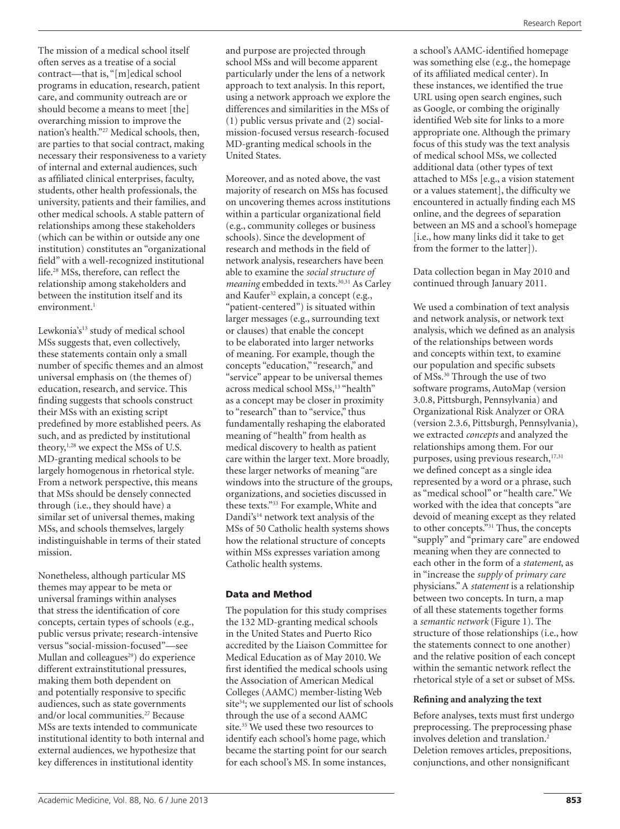The mission of a medical school itself often serves as a treatise of a social contract—that is, "[m]edical school programs in education, research, patient care, and community outreach are or should become a means to meet [the] overarching mission to improve the nation's health."27 Medical schools, then, are parties to that social contract, making necessary their responsiveness to a variety of internal and external audiences, such as affiliated clinical enterprises, faculty, students, other health professionals, the university, patients and their families, and other medical schools. A stable pattern of relationships among these stakeholders (which can be within or outside any one institution) constitutes an "organizational field" with a well-recognized institutional life.28 MSs, therefore, can reflect the relationship among stakeholders and between the institution itself and its environment.<sup>1</sup>

Lewkonia's<sup>13</sup> study of medical school MSs suggests that, even collectively, these statements contain only a small number of specific themes and an almost universal emphasis on (the themes of) education, research, and service. This finding suggests that schools construct their MSs with an existing script predefined by more established peers. As such, and as predicted by institutional theory,<sup>1,28</sup> we expect the MSs of U.S. MD-granting medical schools to be largely homogenous in rhetorical style. From a network perspective, this means that MSs should be densely connected through (i.e., they should have) a similar set of universal themes, making MSs, and schools themselves, largely indistinguishable in terms of their stated mission.

Nonetheless, although particular MS themes may appear to be meta or universal framings within analyses that stress the identification of core concepts, certain types of schools (e.g., public versus private; research-intensive versus "social-mission-focused"—see Mullan and colleagues<sup>29</sup>) do experience different extrainstitutional pressures, making them both dependent on and potentially responsive to specific audiences, such as state governments and/or local communities.27 Because MSs are texts intended to communicate institutional identity to both internal and external audiences, we hypothesize that key differences in institutional identity

and purpose are projected through school MSs and will become apparent particularly under the lens of a network approach to text analysis. In this report, using a network approach we explore the differences and similarities in the MSs of (1) public versus private and (2) socialmission-focused versus research-focused MD-granting medical schools in the United States.

Moreover, and as noted above, the vast majority of research on MSs has focused on uncovering themes across institutions within a particular organizational field (e.g., community colleges or business schools). Since the development of research and methods in the field of network analysis, researchers have been able to examine the *social structure of meaning* embedded in texts.<sup>30,31</sup> As Carley and Kaufer<sup>32</sup> explain, a concept (e.g., "patient-centered") is situated within larger messages (e.g., surrounding text or clauses) that enable the concept to be elaborated into larger networks of meaning. For example, though the concepts "education," "research," and "service" appear to be universal themes across medical school MSs,<sup>13</sup> "health" as a concept may be closer in proximity to "research" than to "service," thus fundamentally reshaping the elaborated meaning of "health" from health as medical discovery to health as patient care within the larger text. More broadly, these larger networks of meaning "are windows into the structure of the groups, organizations, and societies discussed in these texts."33 For example, White and Dandi's<sup>14</sup> network text analysis of the MSs of 50 Catholic health systems shows how the relational structure of concepts within MSs expresses variation among Catholic health systems.

### Data and Method

The population for this study comprises the 132 MD-granting medical schools in the United States and Puerto Rico accredited by the Liaison Committee for Medical Education as of May 2010. We first identified the medical schools using the Association of American Medical Colleges (AAMC) member-listing Web site<sup>34</sup>; we supplemented our list of schools through the use of a second AAMC site.<sup>35</sup> We used these two resources to identify each school's home page, which became the starting point for our search for each school's MS. In some instances,

a school's AAMC-identified homepage was something else (e.g., the homepage of its affiliated medical center). In these instances, we identified the true URL using open search engines, such as Google, or combing the originally identified Web site for links to a more appropriate one. Although the primary focus of this study was the text analysis of medical school MSs, we collected additional data (other types of text attached to MSs [e.g., a vision statement or a values statement], the difficulty we encountered in actually finding each MS online, and the degrees of separation between an MS and a school's homepage [i.e., how many links did it take to get from the former to the latter]).

Data collection began in May 2010 and continued through January 2011.

We used a combination of text analysis and network analysis, or network text analysis, which we defined as an analysis of the relationships between words and concepts within text, to examine our population and specific subsets of MSs.30 Through the use of two software programs, AutoMap (version 3.0.8, Pittsburgh, Pennsylvania) and Organizational Risk Analyzer or ORA (version 2.3.6, Pittsburgh, Pennsylvania), we extracted *concepts* and analyzed the relationships among them. For our purposes, using previous research,<sup>17,31</sup> we defined concept as a single idea represented by a word or a phrase, such as "medical school" or "health care." We worked with the idea that concepts "are devoid of meaning except as they related to other concepts."31 Thus, the concepts "supply" and "primary care" are endowed meaning when they are connected to each other in the form of a *statement*, as in "increase the *supply* of *primary care* physicians." A *statement* is a relationship between two concepts. In turn, a map of all these statements together forms a *semantic network* (Figure 1). The structure of those relationships (i.e., how the statements connect to one another) and the relative position of each concept within the semantic network reflect the rhetorical style of a set or subset of MSs.

### **Refining and analyzing the text**

Before analyses, texts must first undergo preprocessing. The preprocessing phase involves deletion and translation.<sup>2</sup> Deletion removes articles, prepositions, conjunctions, and other nonsignificant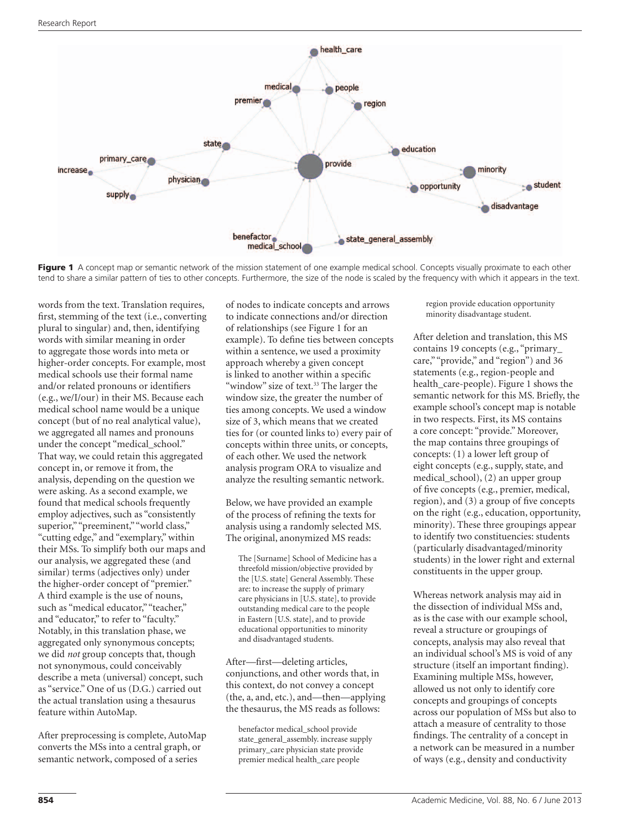

Figure 1 A concept map or semantic network of the mission statement of one example medical school. Concepts visually proximate to each other tend to share a similar pattern of ties to other concepts. Furthermore, the size of the node is scaled by the frequency with which it appears in the text.

words from the text. Translation requires, first, stemming of the text (i.e., converting plural to singular) and, then, identifying words with similar meaning in order to aggregate those words into meta or higher-order concepts. For example, most medical schools use their formal name and/or related pronouns or identifiers (e.g., we/I/our) in their MS. Because each medical school name would be a unique concept (but of no real analytical value), we aggregated all names and pronouns under the concept "medical\_school." That way, we could retain this aggregated concept in, or remove it from, the analysis, depending on the question we were asking. As a second example, we found that medical schools frequently employ adjectives, such as "consistently superior," "preeminent," "world class," "cutting edge," and "exemplary," within their MSs. To simplify both our maps and our analysis, we aggregated these (and similar) terms (adjectives only) under the higher-order concept of "premier." A third example is the use of nouns, such as "medical educator," "teacher," and "educator," to refer to "faculty." Notably, in this translation phase, we aggregated only synonymous concepts; we did *not* group concepts that, though not synonymous, could conceivably describe a meta (universal) concept, such as "service." One of us (D.G.) carried out the actual translation using a thesaurus feature within AutoMap.

After preprocessing is complete, AutoMap converts the MSs into a central graph, or semantic network, composed of a series

of nodes to indicate concepts and arrows to indicate connections and/or direction of relationships (see Figure 1 for an example). To define ties between concepts within a sentence, we used a proximity approach whereby a given concept is linked to another within a specific "window" size of text.<sup>33</sup> The larger the window size, the greater the number of ties among concepts. We used a window size of 3, which means that we created ties for (or counted links to) every pair of concepts within three units, or concepts, of each other. We used the network analysis program ORA to visualize and analyze the resulting semantic network.

Below, we have provided an example of the process of refining the texts for analysis using a randomly selected MS. The original, anonymized MS reads:

The [Surname] School of Medicine has a threefold mission/objective provided by the [U.S. state] General Assembly. These are: to increase the supply of primary care physicians in [U.S. state], to provide outstanding medical care to the people in Eastern [U.S. state], and to provide educational opportunities to minority and disadvantaged students.

After—first—deleting articles, conjunctions, and other words that, in this context, do not convey a concept (the, a, and, etc.), and—then—applying the thesaurus, the MS reads as follows:

benefactor medical\_school provide state\_general\_assembly. increase supply primary\_care physician state provide premier medical health\_care people

region provide education opportunity minority disadvantage student.

After deletion and translation, this MS contains 19 concepts (e.g., "primary\_ care," "provide," and "region") and 36 statements (e.g., region-people and health care-people). Figure 1 shows the semantic network for this MS. Briefly, the example school's concept map is notable in two respects. First, its MS contains a core concept: "provide." Moreover, the map contains three groupings of concepts: (1) a lower left group of eight concepts (e.g., supply, state, and medical\_school), (2) an upper group of five concepts (e.g., premier, medical, region), and (3) a group of five concepts on the right (e.g., education, opportunity, minority). These three groupings appear to identify two constituencies: students (particularly disadvantaged/minority students) in the lower right and external constituents in the upper group.

Whereas network analysis may aid in the dissection of individual MSs and, as is the case with our example school, reveal a structure or groupings of concepts, analysis may also reveal that an individual school's MS is void of any structure (itself an important finding). Examining multiple MSs, however, allowed us not only to identify core concepts and groupings of concepts across our population of MSs but also to attach a measure of centrality to those findings. The centrality of a concept in a network can be measured in a number of ways (e.g., density and conductivity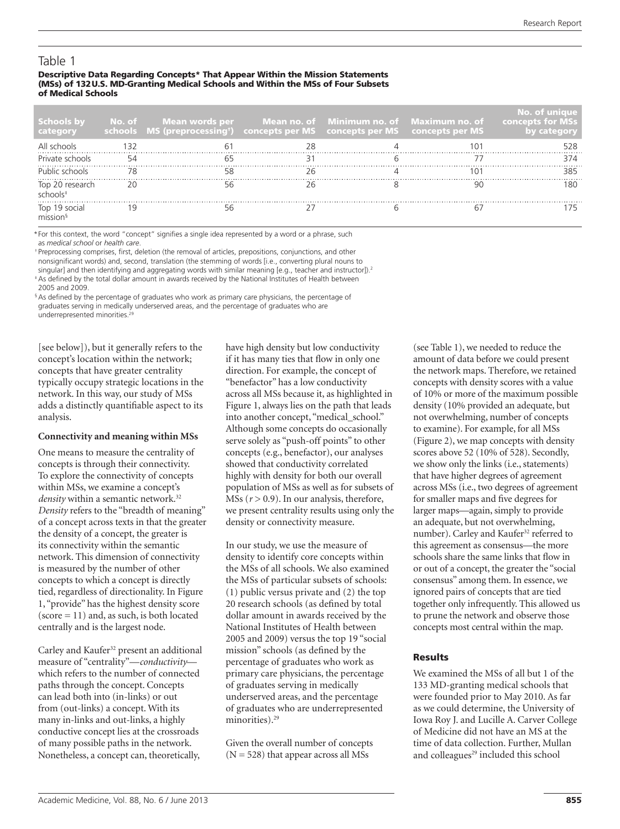# Table 1

#### Descriptive Data Regarding Concepts\* That Appear Within the Mission Statements (MSs) of 132U.S. MD-Granting Medical Schools and Within the MSs of Four Subsets of Medical Schools

| <b>Schools by</b><br>category           | $\blacksquare$ No. of Mean words per Mean no. of Minimum no. of Maximum no. of concepts for MSs<br>schools MS (preprocessing <sup>+</sup> ) concepts per MS concepts per MS concepts per MS |  | No. of unique |
|-----------------------------------------|---------------------------------------------------------------------------------------------------------------------------------------------------------------------------------------------|--|---------------|
|                                         |                                                                                                                                                                                             |  | 528           |
| Private schools                         |                                                                                                                                                                                             |  | 374           |
| Public schools                          |                                                                                                                                                                                             |  | 385           |
| Top 20 research<br>schools <sup>#</sup> |                                                                                                                                                                                             |  |               |
| Top 19 social                           |                                                                                                                                                                                             |  |               |

\* For this context, the word "concept" signifies a single idea represented by a word or a phrase, such as *medical school* or *health care*.

 † Preprocessing comprises, first, deletion (the removal of articles, prepositions, conjunctions, and other nonsignificant words) and, second, translation (the stemming of words [i.e., converting plural nouns to singular] and then identifying and aggregating words with similar meaning [e.g., teacher and instructor]).<sup>2</sup>

 ‡ As defined by the total dollar amount in awards received by the National Institutes of Health between 2005 and 2009.

 § As defined by the percentage of graduates who work as primary care physicians, the percentage of graduates serving in medically underserved areas, and the percentage of graduates who are underrepresented minorities.<sup>2</sup>

[see below]), but it generally refers to the concept's location within the network; concepts that have greater centrality typically occupy strategic locations in the network. In this way, our study of MSs adds a distinctly quantifiable aspect to its analysis.

### **Connectivity and meaning within MSs**

One means to measure the centrality of concepts is through their connectivity. To explore the connectivity of concepts within MSs, we examine a concept's density within a semantic network.<sup>32</sup> *Density* refers to the "breadth of meaning" of a concept across texts in that the greater the density of a concept, the greater is its connectivity within the semantic network. This dimension of connectivity is measured by the number of other concepts to which a concept is directly tied, regardless of directionality. In Figure 1, "provide" has the highest density score  $(score = 11)$  and, as such, is both located centrally and is the largest node.

Carley and Kaufer<sup>32</sup> present an additional measure of "centrality"—*conductivity* which refers to the number of connected paths through the concept. Concepts can lead both into (in-links) or out from (out-links) a concept. With its many in-links and out-links, a highly conductive concept lies at the crossroads of many possible paths in the network. Nonetheless, a concept can, theoretically,

have high density but low conductivity if it has many ties that flow in only one direction. For example, the concept of "benefactor" has a low conductivity across all MSs because it, as highlighted in Figure 1, always lies on the path that leads into another concept, "medical\_school." Although some concepts do occasionally serve solely as "push-off points" to other concepts (e.g., benefactor), our analyses showed that conductivity correlated highly with density for both our overall population of MSs as well as for subsets of MSs ( $r$  > 0.9). In our analysis, therefore, we present centrality results using only the density or connectivity measure.

In our study, we use the measure of density to identify core concepts within the MSs of all schools. We also examined the MSs of particular subsets of schools: (1) public versus private and (2) the top 20 research schools (as defined by total dollar amount in awards received by the National Institutes of Health between 2005 and 2009) versus the top 19 "social mission" schools (as defined by the percentage of graduates who work as primary care physicians, the percentage of graduates serving in medically underserved areas, and the percentage of graduates who are underrepresented minorities).<sup>29</sup>

Given the overall number of concepts  $(N = 528)$  that appear across all MSs

(see Table 1), we needed to reduce the amount of data before we could present the network maps. Therefore, we retained concepts with density scores with a value of 10% or more of the maximum possible density (10% provided an adequate, but not overwhelming, number of concepts to examine). For example, for all MSs (Figure 2), we map concepts with density scores above 52 (10% of 528). Secondly, we show only the links (i.e., statements) that have higher degrees of agreement across MSs (i.e., two degrees of agreement for smaller maps and five degrees for larger maps—again, simply to provide an adequate, but not overwhelming, number). Carley and Kaufer<sup>32</sup> referred to this agreement as consensus—the more schools share the same links that flow in or out of a concept, the greater the "social consensus" among them. In essence, we ignored pairs of concepts that are tied together only infrequently. This allowed us to prune the network and observe those concepts most central within the map.

### Results

We examined the MSs of all but 1 of the 133 MD-granting medical schools that were founded prior to May 2010. As far as we could determine, the University of Iowa Roy J. and Lucille A. Carver College of Medicine did not have an MS at the time of data collection. Further, Mullan and colleagues<sup>29</sup> included this school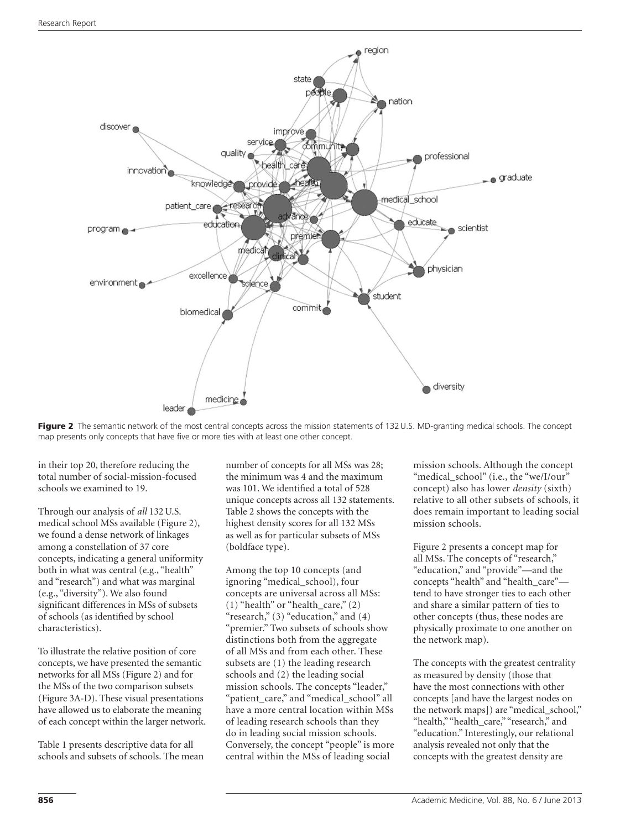

Figure 2 The semantic network of the most central concepts across the mission statements of 132 U.S. MD-granting medical schools. The concept map presents only concepts that have five or more ties with at least one other concept.

in their top 20, therefore reducing the total number of social-mission-focused schools we examined to 19.

Through our analysis of *all* 132U.S. medical school MSs available (Figure 2), we found a dense network of linkages among a constellation of 37 core concepts, indicating a general uniformity both in what was central (e.g., "health" and "research") and what was marginal (e.g., "diversity"). We also found significant differences in MSs of subsets of schools (as identified by school characteristics).

To illustrate the relative position of core concepts, we have presented the semantic networks for all MSs (Figure 2) and for the MSs of the two comparison subsets (Figure 3A-D). These visual presentations have allowed us to elaborate the meaning of each concept within the larger network.

Table 1 presents descriptive data for all schools and subsets of schools. The mean number of concepts for all MSs was 28; the minimum was 4 and the maximum was 101. We identified a total of 528 unique concepts across all 132 statements. Table 2 shows the concepts with the highest density scores for all 132 MSs as well as for particular subsets of MSs (boldface type).

Among the top 10 concepts (and ignoring "medical\_school), four concepts are universal across all MSs:  $(1)$  "health" or "health\_care,"  $(2)$ "research,"  $(3)$  "education," and  $(4)$ "premier." Two subsets of schools show distinctions both from the aggregate of all MSs and from each other. These subsets are (1) the leading research schools and (2) the leading social mission schools. The concepts "leader," "patient\_care," and "medical\_school" all have a more central location within MSs of leading research schools than they do in leading social mission schools. Conversely, the concept "people" is more central within the MSs of leading social

mission schools. Although the concept "medical\_school" (i.e., the "we/I/our" concept) also has lower *density* (sixth) relative to all other subsets of schools, it does remain important to leading social mission schools.

Figure 2 presents a concept map for all MSs. The concepts of "research," "education," and "provide"—and the concepts "health" and "health\_care" tend to have stronger ties to each other and share a similar pattern of ties to other concepts (thus, these nodes are physically proximate to one another on the network map).

The concepts with the greatest centrality as measured by density (those that have the most connections with other concepts [and have the largest nodes on the network maps]) are "medical\_school," "health," "health\_care," "research," and "education." Interestingly, our relational analysis revealed not only that the concepts with the greatest density are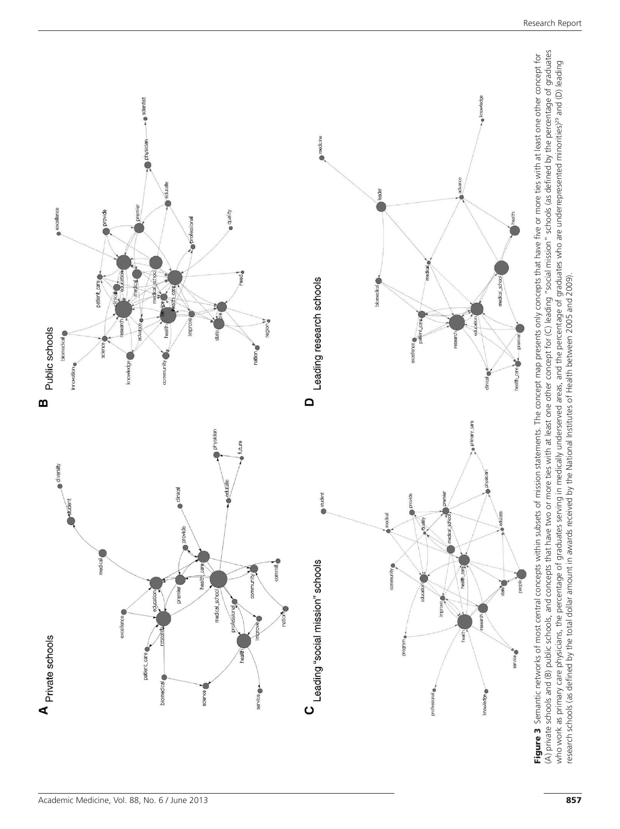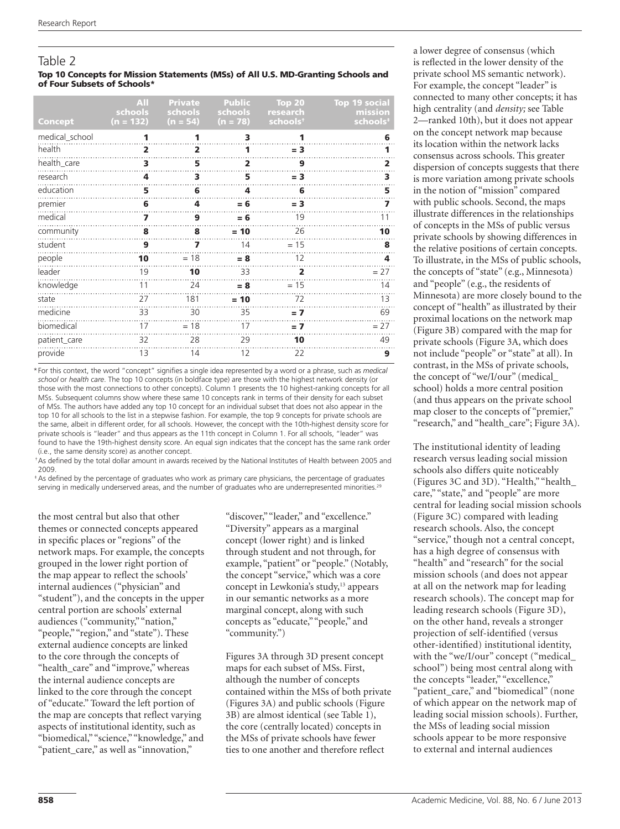# Table 2

#### Top 10 Concepts for Mission Statements (MSs) of All U.S. MD-Granting Schools and of Four Subsets of Schools\*

| Concept        | AII<br>schools<br>$(n = 132)$ | <b>Private</b><br>schools<br>$(n = 54)$ | <b>Public</b><br>schools<br>$(n = 78)$ | Top 20<br>research<br>schools <sup>t</sup> | <b>Top 19 social</b><br>mission<br>schools <sup>+</sup> |
|----------------|-------------------------------|-----------------------------------------|----------------------------------------|--------------------------------------------|---------------------------------------------------------|
| medical_school | 1                             | 1                                       | 3                                      | 1                                          | 6                                                       |
| health         | 2                             | $\overline{\mathbf{2}}$                 | 1                                      | $= 3$                                      | 1                                                       |
| health_care    | 3                             | 5                                       | $\overline{2}$                         | 9                                          | 2                                                       |
| research       | 4                             | 3                                       | 5                                      | $= 3$                                      | 3                                                       |
| education      | 5                             | 6                                       | 4                                      | 6                                          | 5                                                       |
| premier        | 6                             | 4                                       | $= 6$                                  | $= 3$                                      | 7                                                       |
| medical        | 7                             | 9                                       | $= 6$                                  | 19                                         | 11                                                      |
| community      | 8                             | 8                                       | $= 10$                                 | 26                                         | 10                                                      |
| student        | 9                             | 7                                       | 14                                     | $= 15$                                     | 8                                                       |
| people         | 10                            | $= 18$                                  | $= 8$                                  | 12                                         | 4                                                       |
| leader         | 19                            | 10                                      | 33                                     | $\overline{2}$                             | $= 27$                                                  |
| knowledge      | 11                            | 24                                      | $= 8$                                  | $= 15$                                     | 14                                                      |
| state          | 27                            | 181                                     | $= 10$                                 | 72                                         | 13                                                      |
| medicine       | 33                            | 30                                      | 35                                     | $= 7$                                      | 69                                                      |
| biomedical     | 17                            | $= 18$                                  | 17                                     | $= 7$                                      | $= 27$                                                  |
| patient_care   | 32                            | 28                                      | 29                                     | 10                                         | 49                                                      |
| provide        | 13                            | 14                                      | 12                                     | 22                                         | 9                                                       |

\* For this context, the word "concept" signifies a single idea represented by a word or a phrase, such as *medical school* or *health care*. The top 10 concepts (in boldface type) are those with the highest network density (or those with the most connections to other concepts). Column 1 presents the 10 highest-ranking concepts for all MSs. Subsequent columns show where these same 10 concepts rank in terms of their density for each subset of MSs. The authors have added any top 10 concept for an individual subset that does not also appear in the top 10 for all schools to the list in a stepwise fashion. For example, the top 9 concepts for private schools are the same, albeit in different order, for all schools. However, the concept with the 10th-highest density score for private schools is "leader" and thus appears as the 11th concept in Column 1. For all schools, "leader" was found to have the 19th-highest density score. An equal sign indicates that the concept has the same rank order (i.e., the same density score) as another concept.

 † As defined by the total dollar amount in awards received by the National Institutes of Health between 2005 and 2009.

 ‡ As defined by the percentage of graduates who work as primary care physicians, the percentage of graduates serving in medically underserved areas, and the number of graduates who are underrepresented minorities.<sup>29</sup>

the most central but also that other themes or connected concepts appeared in specific places or "regions" of the network maps. For example, the concepts grouped in the lower right portion of the map appear to reflect the schools' internal audiences ("physician" and "student"), and the concepts in the upper central portion are schools' external audiences ("community," "nation," "people," "region," and "state"). These external audience concepts are linked to the core through the concepts of "health\_care" and "improve," whereas the internal audience concepts are linked to the core through the concept of "educate." Toward the left portion of the map are concepts that reflect varying aspects of institutional identity, such as "biomedical," "science," "knowledge," and "patient\_care," as well as "innovation,"

"discover," "leader," and "excellence." "Diversity" appears as a marginal concept (lower right) and is linked through student and not through, for example, "patient" or "people." (Notably, the concept "service," which was a core concept in Lewkonia's study,<sup>13</sup> appears in our semantic networks as a more marginal concept, along with such concepts as "educate," "people," and "community.")

Figures 3A through 3D present concept maps for each subset of MSs. First, although the number of concepts contained within the MSs of both private (Figures 3A) and public schools (Figure 3B) are almost identical (see Table 1), the core (centrally located) concepts in the MSs of private schools have fewer ties to one another and therefore reflect

a lower degree of consensus (which is reflected in the lower density of the private school MS semantic network). For example, the concept "leader" is connected to many other concepts; it has high centrality (and *density;* see Table 2—ranked 10th), but it does not appear on the concept network map because its location within the network lacks consensus across schools. This greater dispersion of concepts suggests that there is more variation among private schools in the notion of "mission" compared with public schools. Second, the maps illustrate differences in the relationships of concepts in the MSs of public versus private schools by showing differences in the relative positions of certain concepts. To illustrate, in the MSs of public schools, the concepts of "state" (e.g., Minnesota) and "people" (e.g., the residents of Minnesota) are more closely bound to the concept of "health" as illustrated by their proximal locations on the network map (Figure 3B) compared with the map for private schools (Figure 3A, which does not include "people" or "state" at all). In contrast, in the MSs of private schools, the concept of "we/I/our" (medical\_ school) holds a more central position (and thus appears on the private school map closer to the concepts of "premier," "research," and "health\_care"; Figure 3A).

The institutional identity of leading research versus leading social mission schools also differs quite noticeably (Figures 3C and 3D). "Health," "health\_ care," "state," and "people" are more central for leading social mission schools (Figure 3C) compared with leading research schools. Also, the concept "service," though not a central concept, has a high degree of consensus with "health" and "research" for the social mission schools (and does not appear at all on the network map for leading research schools). The concept map for leading research schools (Figure 3D), on the other hand, reveals a stronger projection of self-identified (versus other-identified) institutional identity, with the "we/I/our" concept ("medical\_ school") being most central along with the concepts "leader," "excellence," "patient\_care," and "biomedical" (none of which appear on the network map of leading social mission schools). Further, the MSs of leading social mission schools appear to be more responsive to external and internal audiences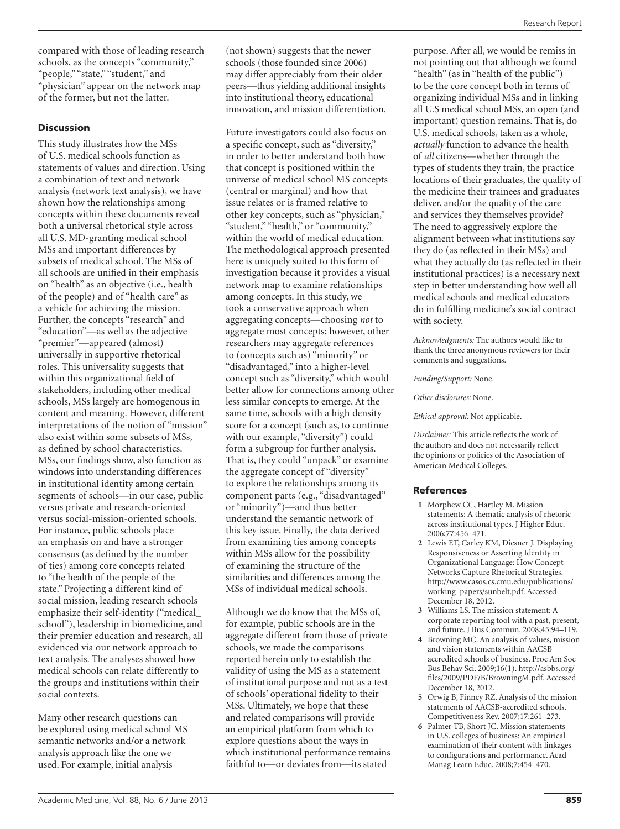compared with those of leading research schools, as the concepts "community," "people," "state," "student," and "physician" appear on the network map of the former, but not the latter.

### Discussion

This study illustrates how the MSs of U.S. medical schools function as statements of values and direction. Using a combination of text and network analysis (network text analysis), we have shown how the relationships among concepts within these documents reveal both a universal rhetorical style across all U.S. MD-granting medical school MSs and important differences by subsets of medical school. The MSs of all schools are unified in their emphasis on "health" as an objective (i.e., health of the people) and of "health care" as a vehicle for achieving the mission. Further, the concepts "research" and "education"—as well as the adjective "premier"—appeared (almost) universally in supportive rhetorical roles. This universality suggests that within this organizational field of stakeholders, including other medical schools, MSs largely are homogenous in content and meaning. However, different interpretations of the notion of "mission" also exist within some subsets of MSs, as defined by school characteristics. MSs, our findings show, also function as windows into understanding differences in institutional identity among certain segments of schools—in our case, public versus private and research-oriented versus social-mission-oriented schools. For instance, public schools place an emphasis on and have a stronger consensus (as defined by the number of ties) among core concepts related to "the health of the people of the state." Projecting a different kind of social mission, leading research schools emphasize their self-identity ("medical\_ school"), leadership in biomedicine, and their premier education and research, all evidenced via our network approach to text analysis. The analyses showed how medical schools can relate differently to the groups and institutions within their social contexts.

Many other research questions can be explored using medical school MS semantic networks and/or a network analysis approach like the one we used. For example, initial analysis

(not shown) suggests that the newer schools (those founded since 2006) may differ appreciably from their older peers—thus yielding additional insights into institutional theory, educational innovation, and mission differentiation.

Future investigators could also focus on a specific concept, such as "diversity," in order to better understand both how that concept is positioned within the universe of medical school MS concepts (central or marginal) and how that issue relates or is framed relative to other key concepts, such as "physician," "student," "health," or "community," within the world of medical education. The methodological approach presented here is uniquely suited to this form of investigation because it provides a visual network map to examine relationships among concepts. In this study, we took a conservative approach when aggregating concepts—choosing *not* to aggregate most concepts; however, other researchers may aggregate references to (concepts such as) "minority" or "disadvantaged," into a higher-level concept such as "diversity," which would better allow for connections among other less similar concepts to emerge. At the same time, schools with a high density score for a concept (such as, to continue with our example, "diversity") could form a subgroup for further analysis. That is, they could "unpack" or examine the aggregate concept of "diversity" to explore the relationships among its component parts (e.g., "disadvantaged" or "minority")—and thus better understand the semantic network of this key issue. Finally, the data derived from examining ties among concepts within MSs allow for the possibility of examining the structure of the similarities and differences among the MSs of individual medical schools.

Although we do know that the MSs of, for example, public schools are in the aggregate different from those of private schools, we made the comparisons reported herein only to establish the validity of using the MS as a statement of institutional purpose and not as a test of schools' operational fidelity to their MSs. Ultimately, we hope that these and related comparisons will provide an empirical platform from which to explore questions about the ways in which institutional performance remains faithful to—or deviates from—its stated

purpose. After all, we would be remiss in not pointing out that although we found "health" (as in "health of the public") to be the core concept both in terms of organizing individual MSs and in linking all U.S medical school MSs, an open (and important) question remains. That is, do U.S. medical schools, taken as a whole, *actually* function to advance the health of *all* citizens—whether through the types of students they train, the practice locations of their graduates, the quality of the medicine their trainees and graduates deliver, and/or the quality of the care and services they themselves provide? The need to aggressively explore the alignment between what institutions say they do (as reflected in their MSs) and what they actually do (as reflected in their institutional practices) is a necessary next step in better understanding how well all medical schools and medical educators do in fulfilling medicine's social contract with society.

*Acknowledgments:* The authors would like to thank the three anonymous reviewers for their comments and suggestions.

*Funding/Support:* None.

*Other disclosures:* None.

*Ethical approval:* Not applicable.

*Disclaimer:* This article reflects the work of the authors and does not necessarily reflect the opinions or policies of the Association of American Medical Colleges.

### References

- **1** Morphew CC, Hartley M. Mission statements: A thematic analysis of rhetoric across institutional types. J Higher Educ. 2006;77:456–471.
- **2** Lewis ET, Carley KM, Diesner J. Displaying Responsiveness or Asserting Identity in Organizational Language: How Concept Networks Capture Rhetorical Strategies. [http://www.casos.cs.cmu.edu/publications/](http://www.casos.cs.cmu.edu/publications/working_papers/sunbelt.pdf) [working\\_papers/sunbelt.pdf.](http://www.casos.cs.cmu.edu/publications/working_papers/sunbelt.pdf) Accessed December 18, 2012.
- **3** Williams LS. The mission statement: A corporate reporting tool with a past, present, and future. J Bus Commun. 2008;45:94–119.
- **4** Browning MC. An analysis of values, mission and vision statements within AACSB accredited schools of business. Proc Am Soc Bus Behav Sci. 2009;16(1). [http://asbbs.org/](http://asbbs.org/files/2009/PDF/B/BrowningM.pdf) [files/2009/PDF/B/BrowningM.pdf](http://asbbs.org/files/2009/PDF/B/BrowningM.pdf). Accessed December 18, 2012.
- **5** Orwig B, Finney RZ. Analysis of the mission statements of AACSB-accredited schools. Competitiveness Rev. 2007;17:261–273.
- **6** Palmer TB, Short JC. Mission statements in U.S. colleges of business: An empirical examination of their content with linkages to configurations and performance. Acad Manag Learn Educ. 2008;7:454–470.